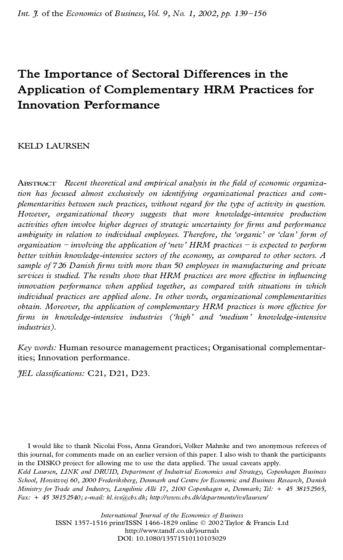# **The Importance of Sectoral Differences in the Application of Complementary HRM Practices for Innovation Performance**

# KELD LAURSEN

ABSTRACT *Recent theoretical and empirical analysis in the field of economic organization has focused almost exclusively on identifying organizational practices and com plementarities between such practices, without regard for the type of activity in question. However, organizational theory suggests that more knowledge-intensive production activities often involve higher degrees of strategic uncertainty for firms and performance ambiguity in relation to individual employees. Therefore, the `organic' or `clan' form of organization ± involving the application of `new' HRM practices ± is expected to perform better within knowledge-intensive sectors of the economy, as compared to other sectors. A sample of 726 Danish firms with more than 50 employees in manufacturing and private services is studied. The results show that HRM practices are more effective in influencing innovation performance when applied together, as compared with situations in which individual practices are applied alone. In other words, organizational complementarities obtain. Moreover, the application of complementary HRM practices is more effective for firms in knowledge-intensive industries (`high' and `medium' knowledge-intensive industries).*

*Key words:* Human resource management practices; Organisational complementarities; Innovation performance.

*JEL classifications:* C21, D21, D23.

I would like to thank Nicolai Foss, Anna Grandori, Volker Mahnke and two anonymous referees of this journal, for comments made on an earlier version of this paper. I also wish to thank the participants in the DISKO project for allowing me to use the data applied. The usual caveats apply.

*Keld Laursen, LINK and DRUID, Department of Industrial Economics and Strategy, Copenhagen Business School, Howitzvej 60, 2000 Frederiksberg, Denmark and Centre for Economic and Business Research, Danish Ministry for Trade and Industry, Langelinie Allé 17, 2100 Copenhagen ø, Denmark; Tel: + 45 38152565, Fax: + 45 38152540; e-mail: kl.ivs@cbs.dk; http://www.cbs.dk/departments/ivs/laursen/*

> *International Journal of the Economics of Business* ISSN 1357-1516 print/ISSN 1466-1829 online 2002Taylor & Francis Ltd http://www.tandf.co.uk/journals DOI: 10.1080/13571510110103029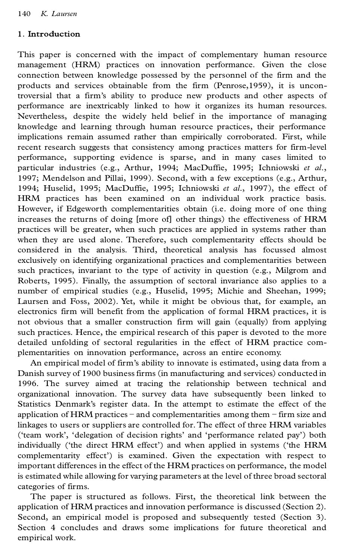## **1. Introduction**

This paper is concerned with the impact of complementary human resource management (HRM) practices on innovation performance. Given the close connection between knowledge possessed by the personnel of the firm and the products and services obtainable from the firm (Penrose,1959), it is uncontroversial that a firm's ability to produce new products and other aspects of performance are inextricably linked to how it organizes its human resources. Nevertheless, despite the widely held belief in the importance of managing knowledge and learning through human resource practices, their performance implications remain assumed rather than empirically corroborated. First, while recent research suggests that consistency among practices matters for firm-level performance, supporting evidence is sparse, and in many cases limited to particular industries (e.g., Arthur, 1994; MacDuffie, 1995; Ichniowski *et al*., 1997; Mendelson and Pillai, 1999). Second, with a few exceptions (e.g., Arthur, 1994; Huselid, 1995; MacDuffie, 1995; Ichniowski *et al*., 1997), the effect of HRM practices has been examined on an individual work practice basis. However, if Edgeworth complementarities obtain (i.e. doing more of one thing increases the returns of doing [more of] other things) the effectiveness of HRM practices will be greater, when such practices are applied in systems rather than when they are used alone. Therefore, such complementarity effects should be considered in the analysis. Third, theoretical analysis has focussed almost exclusively on identifying organizational practices and complementarities between such practices, invariant to the type of activity in question (e.g., Milgrom and Roberts, 1995). Finally, the assumption of sectoral invariance also applies to a number of empirical studies (e.g., Huselid, 1995; Michie and Sheehan, 1999; Laursen and Foss, 2002). Yet, while it might be obvious that, for example, an electronics firm will benefit from the application of formal HRM practices, it is not obvious that a smaller construction firm will gain (equally) from applying such practices. Hence, the empirical research of this paper is devoted to the more detailed unfolding of sectoral regularities in the effect of HRM practice com plementarities on innovation performance, across an entire economy.

An empirical model of firm's ability to innovate is estimated, using data from a Danish survey of 1900 business firms (in manufacturing and services) conducted in 1996. The survey aimed at tracing the relationship between technical and organizational innovation. The survey data have subsequently been linked to Statistics Denmark's register data. In the attempt to estimate the effect of the application of HRM practices  $-\$  and complementarities among them  $-\$  firm size and linkages to users or suppliers are controlled for. The effect of three HRM variables (`team work', `delegation of decision rights' and `performance related pay') both individually (`the direct HRM effect') and when applied in systems (`the HRM complementarity effect') is examined. Given the expectation with respect to important differences in the effect of the HRM practices on performance, the model is estimated while allowing for varying parameters at the level of three broad sectoral categories of firms.

The paper is structured as follows. First, the theoretical link between the application of HRM practices and innovation performance is discussed (Section 2). Second, an empirical model is proposed and subsequently tested (Section 3). Section 4 concludes and draws some implications for future theoretical and empirical work.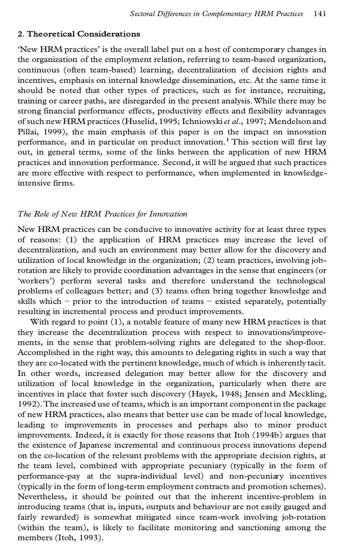## **2. Theoretical Considerations**

`New HRM practices' is the overall label put on a host of contemporary changes in the organization of the employment relation, referring to team-based organization, continuous (often team-based) learning, decentralization of decision rights and incentives, emphasis on internal knowledge dissemination, etc. At the same time it should be noted that other types of practices, such as for instance, recruiting, training or career paths, are disregarded in the present analysis.While there may be strong financial performance effects, productivity effects and flexibility advantages of such new HRM practices(Huselid, 1995; Ichniowski*et al*., 1997; Mendelsonand Pillai, 1999), the main emphasis of this paper is on the impact on innovation performance, and in particular on product innovation.<sup>1</sup> This section will first lay out, in general terms, some of the links between the application of new HRM practices and innovation performance. Second, it will be argued that such practices are more effective with respect to performance, when implemented in knowledgeintensive firms.

## *The Role of New HRM Practices for Innovation*

New HRM practices can be conducive to innovative activity for at least three types of reasons: (1) the application of HRM practices may increase the level of decentralization, and such an environment may better allow for the discovery and utilization of local knowledge in the organization; (2) team practices, involving jobrotation are likely to provide coordination advantages in the sense that engineers(or `workers') perform several tasks and therefore understand the technological problems of colleagues better; and (3) teams often bring together knowledge and skills which  $-$  prior to the introduction of teams  $-$  existed separately, potentially resulting in incremental process and product improvements.

With regard to point (1), a notable feature of many new HRM practices is that they increase the decentralization process with respect to innovations/improvements, in the sense that problem-solving rights are delegated to the shop-floor. Accomplished in the right way, this amounts to delegating rights in such a way that they are co-located with the pertinent knowledge, much of which is inherently tacit. In other words, increased delegation may better allow for the discovery and utilization of local knowledge in the organization, particularly when there are incentives in place that foster such discovery (Hayek, 1948; Jensen and Meckling, 1992).The increased use of teams, which is an important componentin the package of new HRM practices, also means that better use can be made of local knowledge, leading to improvements in processes and perhaps also to minor product improvements. Indeed, it is exactly for those reasons that Itoh (1994b) argues that the existence of Japanese incremental and continuous process innovations depend on the co-location of the relevant problems with the appropriate decision rights, at the team level, combined with appropriate pecuniary (typically in the form of performance-pay at the supra-individual level) and non-pecuniary incentives (typically in the form of long-term employment contracts and promotion schemes). Nevertheless, it should be pointed out that the inherent incentive-problem in introducing teams (that is, inputs, outputs and behaviour are not easily gauged and fairly rewarded) is somewhat mitigated since team-work involving job-rotation (within the team), is likely to facilitate monitoring and sanctioning among the members (Itoh, 1993).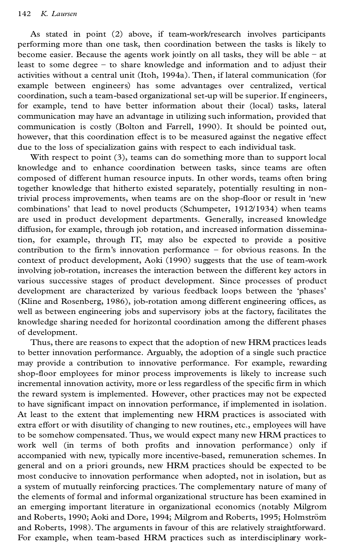As stated in point (2) above, if team-work/research involves participants performing more than one task, then coordination between the tasks is likely to become easier. Because the agents work jointly on all tasks, they will be able  $-$  at least to some degree - to share knowledge and information and to adjust their activities without a central unit (Itoh, 1994a). Then, if lateral communication (for example between engineers) has some advantages over centralized, vertical coordination, such a team-based organizational set-up will be superior.If engineers, for example, tend to have better information about their (local) tasks, lateral communication may have an advantage in utilizing such information, provided that communication is costly (Bolton and Farrell, 1990). It should be pointed out, however, that this coordination effect is to be measured against the negative effect due to the loss of specialization gains with respect to each individual task.

With respect to point (3), teams can do something more than to support local knowledge and to enhance coordination between tasks, since teams are often composed of different human resource inputs. In other words, teams often bring together knowledge that hitherto existed separately, potentially resulting in nontrivial process improvements, when teams are on the shop-floor or result in `new combinations' that lead to novel products (Schumpeter, 1912/1934) when teams are used in product development departments. Generally, increased knowledge diffusion, for example, through job rotation, and increased information dissemination, for example, through IT, may also be expected to provide a positive contribution to the firm's innovation performance  $-$  for obvious reasons. In the context of product development, Aoki (1990) suggests that the use of team-work involving job-rotation, increases the interaction between the different key actors in various successive stages of product development. Since processes of product development are characterized by various feedback loops between the `phases' (Kline and Rosenberg, 1986), job-rotation among different engineering offices, as well as between engineering jobs and supervisory jobs at the factory, facilitates the knowledge sharing needed for horizontal coordination among the different phases of development.

Thus, there are reasons to expect that the adoption of new HRM practices leads to better innovation performance. Arguably, the adoption of a single such practice may provide a contribution to innovative performance. For example, rewarding shop-floor employees for minor process improvements is likely to increase such incremental innovation activity, more or less regardless of the specific firm in which the reward system is implemented. However, other practices may not be expected to have significant impact on innovation performance, if implemented in isolation. At least to the extent that implementing new HRM practices is associated with extra effort or with disutility of changing to new routines, etc., employees will have to be somehow compensated. Thus, we would expect many new HRM practices to work well (in terms of both profits and innovation performance ) only if accompanied with new, typically more incentive-based, remuneration schemes. In general and on a priori grounds, new HRM practices should be expected to be most conducive to innovation performance when adopted, not in isolation, but as a system of mutually reinforcing practices. The complementary nature of many of the elements of formal and informal organizational structure has been examined in an emerging important literature in organizational economics (notably Milgrom and Roberts, 1990; Aoki and Dore, 1994; Milgrom and Roberts, 1995; Holmström and Roberts, 1998). The arguments in favour of this are relatively straightforward. For example, when team-based HRM practices such as interdisciplinary work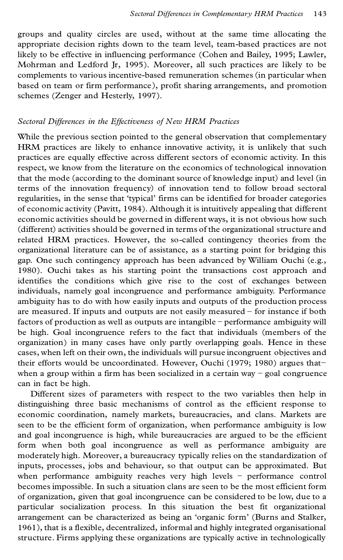groups and quality circles are used, without at the same time allocating the appropriate decision rights down to the team level, team-based practices are not likely to be effective in influencing performance (Cohen and Bailey, 1995; Lawler, Mohrman and Ledford Jr, 1995). Moreover, all such practices are likely to be complements to various incentive-based remuneration schemes(in particular when based on team or firm performance ), profit sharing arrangements, and promotion schemes (Zenger and Hesterly, 1997).

## *Sectoral Differences in the Effectiveness of New HRM Practices*

While the previous section pointed to the general observation that complementary HRM practices are likely to enhance innovative activity, it is unlikely that such practices are equally effective across different sectors of economic activity. In this respect, we know from the literature on the economics of technological innovation that the mode (according to the dominant source of knowledge input) and level (in terms of the innovation frequency) of innovation tend to follow broad sectoral regularities, in the sense that `typical' firms can be identified for broader categories of economic activity (Pavitt, 1984). Although it is intuitively appealing that different economic activities should be governed in different ways, it is not obvious how such (different) activities should be governed in terms of the organizational structure and related HRM practices. However, the so-called contingency theories from the organizational literature can be of assistance, as a starting point for bridging this gap. One such contingency approach has been advanced by William Ouchi (e.g., 1980). Ouchi takes as his starting point the transactions cost approach and identifies the conditions which give rise to the cost of exchanges between individuals, namely goal incongruence and performance ambiguity. Performance ambiguity has to do with how easily inputs and outputs of the production process are measured. If inputs and outputs are not easily measured  $-$  for instance if both factors of production as well as outputs are intangible - performance ambiguity will be high. Goal incongruence refers to the fact that individuals (members of the organization) in many cases have only partly overlapping goals. Hence in these cases, when left on their own, the individuals will pursue incongruent objectives and their efforts would be uncoordinated. However, Ouchi (1979; 1980) argues that $$ when a group within a firm has been socialized in a certain way  $-$  goal congruence can in fact be high.

Different sizes of parameters with respect to the two variables then help in distinguishing three basic mechanisms of control as the efficient response to economic coordination, namely markets, bureaucracies, and clans. Markets are seen to be the efficient form of organization, when performance ambiguity is low and goal incongruence is high, while bureaucracies are argued to be the efficient form when both goal incongruence as well as performance ambiguity are moderately high. Moreover, a bureaucracy typically relies on the standardization of inputs, processes, jobs and behaviour, so that output can be approximated. But when performance ambiguity reaches very high levels - performance control becomes impossible. In such a situation clans are seen to be the most efficient form of organization, given that goal incongruence can be considered to be low, due to a particular socialization process. In this situation the best fit organizational arrangement can be characterized as being an `organic form' (Burns and Stalker, 1961), that is a flexible, decentralized, informal and highly integrated organisational structure. Firms applying these organizations are typically active in technologically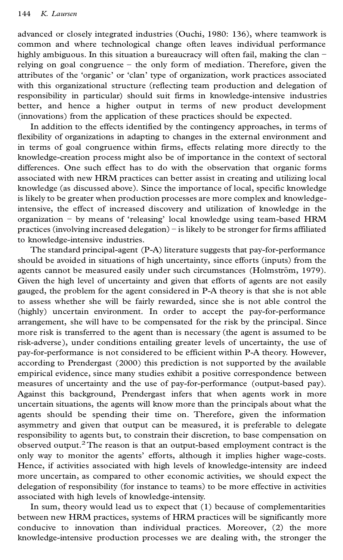advanced or closely integrated industries (Ouchi, 1980: 136), where teamwork is common and where technological change often leaves individual performance highly ambiguous. In this situation a bureaucracy will often fail, making the clan  $$ relying on goal congruence  $-$  the only form of mediation. Therefore, given the attributes of the `organic' or `clan' type of organization, work practices associated with this organizational structure (reflecting team production and delegation of responsibility in particular) should suit firms in knowledge-intensive industries better, and hence a higher output in terms of new product development (innovations) from the application of these practices should be expected.

In addition to the effects identified by the contingency approaches, in terms of flexibility of organizations in adapting to changes in the external environment and in terms of goal congruence within firms, effects relating more directly to the knowledge-creation process might also be of importance in the context of sectoral differences. One such effect has to do with the observation that organic forms associated with new HRM practices can better assist in creating and utilizing local knowledge (as discussed above). Since the importance of local, specific knowledge is likely to be greater when production processes are more complex and knowledgeintensive, the effect of increased discovery and utilization of knowledge in the organization - by means of 'releasing' local knowledge using team-based HRM practices (involving increased delegation)  $-$  is likely to be stronger for firms affiliated to knowledge-intensive industries.

The standard principal-agent (P-A) literature suggests that pay-for-performance should be avoided in situations of high uncertainty, since efforts (inputs) from the agents cannot be measured easily under such circumstances (Holmström, 1979). Given the high level of uncertainty and given that efforts of agents are not easily gauged, the problem for the agent considered in P-A theory is that she is not able to assess whether she will be fairly rewarded, since she is not able control the (highly) uncertain environment. In order to accept the pay-for-performance arrangement, she will have to be compensated for the risk by the principal. Since more risk is transferred to the agent than is necessary (the agent is assumed to be risk-adverse), under conditions entailing greater levels of uncertainty, the use of pay-for-performance is not considered to be efficient within P-A theory. However, according to Prendergast (2000) this prediction is not supported by the available empirical evidence, since many studies exhibit a positive correspondence between measures of uncertainty and the use of pay-for-performance (output-based pay). Against this background, Prendergast infers that when agents work in more uncertain situations, the agents will know more than the principals about what the agents should be spending their time on. Therefore, given the information asymmetry and given that output can be measured, it is preferable to delegate responsibility to agents but, to constrain their discretion, to base compensation on observed output.2The reason is that an output-based employment contract is the only way to monitor the agents' efforts, although it implies higher wage-costs. Hence, if activities associated with high levels of knowledge-intensity are indeed more uncertain, as compared to other economic activities, we should expect the delegation of responsibility (for instance to teams) to be more effective in activities associated with high levels of knowledge-intensity.

In sum, theory would lead us to expect that (1) because of complementarities between new HRM practices, systems of HRM practices will be significantly more conducive to innovation than individual practices. Moreover, (2) the more knowledge-intensive production processes we are dealing with, the stronger the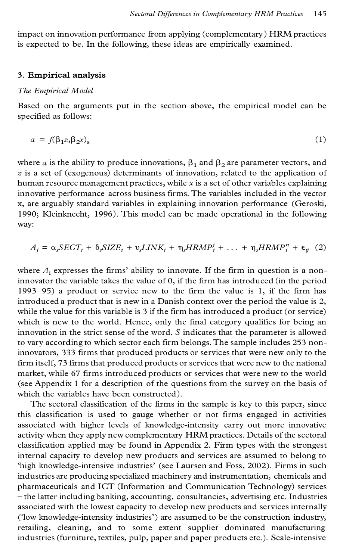impact on innovation performance from applying (complementary ) HRM practices is expected to be. In the following, these ideas are empirically examined.

#### **3. Empirical analysis**

#### *The Empirical Model*

Based on the arguments put in the section above, the empirical model can be specified as follows:

$$
a = f(\beta_1 z, \beta_2 x)_s \tag{1}
$$

where *a* is the ability to produce innovations,  $\beta_1$  and  $\beta_2$  are parameter vectors, and *z* is a set of (exogenous) determinants of innovation, related to the application of human resource management practices, while  $x$  is a set of other variables explaining innovative performance across business firms. The variables included in the vector x, are arguably standard variables in explaining innovation performance (Geroski, 1990; Kleinknecht, 1996). This model can be made operational in the following way:

$$
A_i = \alpha_s SECT_i + \delta_s SIZE_i + \nu_s LINK_i + \eta_s HRMP_i^j + \dots + \eta_s HRMP_i^n + \epsilon_{ij} \quad (2)
$$

where  $A_i$  expresses the firms' ability to innovate. If the firm in question is a noninnovator the variable takes the value of 0, if the firm has introduced (in the period 1993 $-95$ ) a product or service new to the firm the value is 1, if the firm has introduced a product that is new in a Danish context over the period the value is 2, while the value for this variable is  $3$  if the firm has introduced a product (or service) which is new to the world. Hence, only the final category qualifies for being an innovation in the strict sense of the word. *S* indicates that the parameter is allowed to vary according to which sector each firm belongs.The sample includes 253 noninnovators, 333 firms that produced products or services that were new only to the firm itself, 73 firms that produced products or services that were new to the national market, while 67 firms introduced products or services that were new to the world (see Appendix 1 for a description of the questions from the survey on the basis of which the variables have been constructed).

The sectoral classification of the firms in the sample is key to this paper, since this classification is used to gauge whether or not firms engaged in activities associated with higher levels of knowledge-intensity carry out more innovative activity when they apply new complementary HRM practices. Details of the sectoral classification applied may be found in Appendix 2. Firm types with the strongest internal capacity to develop new products and services are assumed to belong to `high knowledge-intensive industries' (see Laursen and Foss, 2002). Firms in such industries are producing specialized machinery and instrumentation, chemicals and pharmaceuticals and ICT (Information and Communication Technology) services ± the latter including banking, accounting, consultancies, advertising etc. Industries associated with the lowest capacity to develop new products and services internally (`low knowledge-intensity industries' ) are assumed to be the construction industry, retailing, cleaning, and to some extent supplier dominated manufacturing industries(furniture, textiles, pulp, paper and paper products etc.). Scale-intensive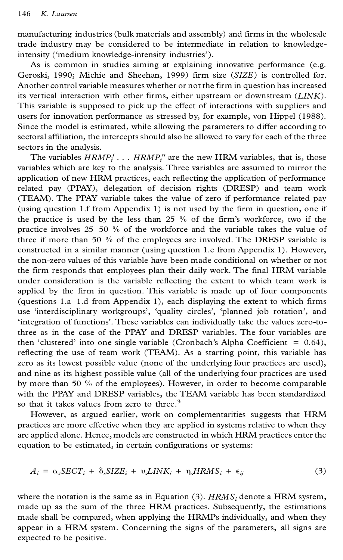manufacturing industries(bulk materials and assembly) and firms in the wholesale trade industry may be considered to be intermediate in relation to knowledgeintensity ('medium knowledge-intensity industries').

As is common in studies aiming at explaining innovative performance (e.g. Geroski, 1990; Michie and Sheehan, 1999) firm size (*SIZE*) is controlled for. Another control variable measures whether or not the firm in question has increased its vertical interaction with other firms, either upstream or downstream (*LINK*). This variable is supposed to pick up the effect of interactions with suppliers and users for innovation performance as stressed by, for example, von Hippel (1988). Since the model is estimated, while allowing the parameters to differ according to sectoral affiliation, the intercepts should also be allowed to vary for each of the three sectors in the analysis.

The variables  $H R M P_i^j$  . . .  $H R M P_i^n$  are the new HRM variables, that is, those variables which are key to the analysis. Three variables are assumed to mirror the application of new HRM practices, each reflecting the application of performance related pay (PPAY), delegation of decision rights (DRESP) and team work (TEAM). The PPAY variable takes the value of zero if performance related pay (using question 1.f from Appendix 1) is not used by the firm in question, one if the practice is used by the less than 25 % of the firm's workforce, two if the practice involves  $25-50$  % of the workforce and the variable takes the value of three if more than 50 % of the employees are involved. The DRESP variable is constructed in a similar manner (using question 1.e from Appendix 1). However, the non-zero values of this variable have been made conditional on whether or not the firm responds that employees plan their daily work. The final HRM variable under consideration is the variable reflecting the extent to which team work is applied by the firm in question. This variable is made up of four components (questions  $1.a-1.d$  from Appendix 1), each displaying the extent to which firms use 'interdisciplinary workgroups', 'quality circles', 'planned job rotation', and `integration of functions'. These variables can individually take the values zero-tothree as in the case of the PPAY and DRESP variables. The four variables are then 'clustered' into one single variable (Cronbach's Alpha Coefficient =  $0.64$ ), reflecting the use of team work (TEAM). As a starting point, this variable has zero as its lowest possible value (none of the underlying four practices are used), and nine as its highest possible value (all of the underlying four practices are used by more than 50 % of the employees). However, in order to become comparable with the PPAY and DRESP variables, the TEAM variable has been standardized so that it takes values from zero to three.<sup>3</sup>

However, as argued earlier, work on complementarities suggests that HRM practices are more effective when they are applied in systems relative to when they are applied alone. Hence, models are constructed in which HRM practices enter the equation to be estimated, in certain configurations or systems:

$$
A_i = \alpha_s SECT_i + \delta_s SIZE_i + v_s LINK_i + \eta_s HRMS_i + \epsilon_{ij}
$$
 (3)

where the notation is the same as in Equation (3). *HRMSi* denote a HRM system, made up as the sum of the three HRM practices. Subsequently, the estimations made shall be compared, when applying the HRMPs individually, and when they appear in a HRM system. Concerning the signs of the parameters, all signs are expected to be positive.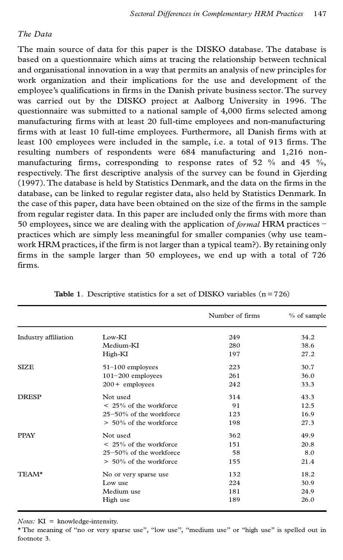## *The Data*

The main source of data for this paper is the DISKO database. The database is based on a questionnaire which aims at tracing the relationship between technical and organisational innovation in a way that permits an analysis of new principlesfor work organization and their implications for the use and development of the employee's qualifications in firms in the Danish private business sector.The survey was carried out by the DISKO project at Aalborg University in 1996. The questionnaire was submitted to a national sample of 4,000 firms selected among manufacturing firms with at least 20 full-time employees and non-manufacturing firms with at least 10 full-time employees. Furthermore, all Danish firms with at least 100 employees were included in the sample, i.e. a total of 913 firms. The resulting numbers of respondents were 684 manufacturing and 1,216 non manufacturing firms, corresponding to response rates of 52  $\%$  and 45  $\%$ , respectively. The first descriptive analysis of the survey can be found in Gjerding (1997).The database is held by Statistics Denmark, and the data on the firms in the database, can be linked to regular register data, also held by Statistics Denmark. In the case of this paper, data have been obtained on the size of the firms in the sample from regular register data. In this paper are included only the firms with more than 50 employees, since we are dealing with the application of *formal* HRM practices – practices which are simply less meaningful for smaller companies (why use teamwork HRM practices, if the firm is not larger than a typical team?). By retaining only firms in the sample larger than 50 employees, we end up with a total of 726 firms.

|                      |                             | Number of firms | % of sample |
|----------------------|-----------------------------|-----------------|-------------|
| Industry affiliation | $I_{\text{OW}-KI}$          | 249             | 34.2        |
|                      | Medium-KI                   | 280             | 38.6        |
|                      | High-KI                     | 197             | 27.2        |
| <b>SIZE</b>          | $51-100$ employees          | 223             | 30.7        |
|                      | $101-200$ employees         | 261             | 36.0        |
|                      | $200 +$ employees           | 242             | 33.3        |
| <b>DRESP</b>         | Not used                    | 314             | 43.3        |
|                      | $\leq$ 25% of the workforce | 91              | 12.5        |
|                      | $25-50\%$ of the workforce  | 123             | 16.9        |
|                      | $> 50\%$ of the workforce   | 198             | 27.3        |
| <b>PPAY</b>          | Not used                    | 362             | 49.9        |
|                      | $\leq$ 25% of the workforce | 151             | 20.8        |
|                      | $25-50\%$ of the workforce  | 58              | 8.0         |
|                      | $> 50\%$ of the workforce   | 155             | 21.4        |
| TEAM*                | No or very sparse use       | 132             | 18.2        |
|                      | Low use                     | 224             | 30.9        |
|                      | Medium use                  | 181             | 24.9        |
|                      | High use                    | 189             | 26.0        |

**Table 1.** Descriptive statistics for a set of DISKO variables  $(n = 726)$ 

*Notes:* KI = knowledge-intensity.

\* The meaning of "no or very sparse use", "low use", "medium use" or "high use" is spelled out in footnote 3.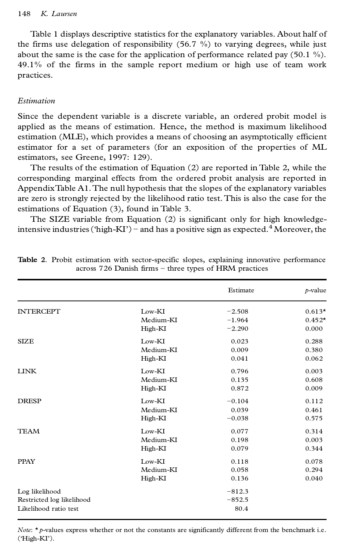#### 148 *K. Laursen*

Table 1 displays descriptive statistics for the explanatory variables. About half of the firms use delegation of responsibility  $(56.7 \%)$  to varying degrees, while just about the same is the case for the application of performance related pay (50.1 %). 49.1% of the firms in the sample report medium or high use of team work practices.

#### *Estimation*

Since the dependent variable is a discrete variable, an ordered probit model is applied as the means of estimation. Hence, the method is maximum likelihood estimation (MLE), which provides a means of choosing an asymptotically efficient estimator for a set of parameters (for an exposition of the properties of ML estimators, see Greene, 1997: 129).

The results of the estimation of Equation (2) are reported in Table 2, while the corresponding marginal effects from the ordered probit analysis are reported in AppendixTable A1.The null hypothesis that the slopes of the explanatory variables are zero is strongly rejected by the likelihood ratio test. This is also the case for the estimations of Equation (3), found in Table 3.

The SIZE variable from Equation (2) is significant only for high knowledgeintensive industries ('high-KI') - and has a positive sign as expected.<sup>4</sup> Moreover, the

|                           |                       | Estimate             | $p$ -value           |
|---------------------------|-----------------------|----------------------|----------------------|
| <b>INTERCEPT</b>          | $Low-KI$<br>Medium-KI | $-2.508$<br>$-1.964$ | $0.613*$<br>$0.452*$ |
|                           | High-KI               | $-2.290$             | 0.000                |
| <b>SIZE</b>               | Low-KI                | 0.023                | 0.288                |
|                           | Medium-KI             | 0.009                | 0.380                |
|                           | High-KI               | 0.041                | 0.062                |
| <b>LINK</b>               | Low-KI                | 0.796                | 0.003                |
|                           | Medium-KI             | 0.135                | 0.608                |
|                           | High-KI               | 0.872                | 0.009                |
| <b>DRESP</b>              | $I_{\text{OW}-KI}$    | $-0.104$             | 0.112                |
|                           | Medium-KI             | 0.039                | 0.461                |
|                           | High-KI               | $-0.038$             | 0.575                |
| <b>TEAM</b>               | $I_{\text{OW}-KI}$    | 0.077                | 0.314                |
|                           | Medium-KI             | 0.198                | 0.003                |
|                           | High-KI               | 0.079                | 0.344                |
| <b>PPAY</b>               | Low-KI                | 0.118                | 0.078                |
|                           | Medium-KI             | 0.058                | 0.294                |
|                           | High-KI               | 0.136                | 0.040                |
| Log likelihood            |                       | $-812.3$             |                      |
| Restricted log likelihood |                       | $-852.5$             |                      |
| Likelihood ratio test     |                       | 80.4                 |                      |

**Table 2.** Probit estimation with sector-specific slopes, explaining innovative performance across  $726$  Danish firms  $-$  three types of HRM practices

*Note*: \* *p*-values express whether or not the constants are significantly different from the benchmark i.e. (`High-KI').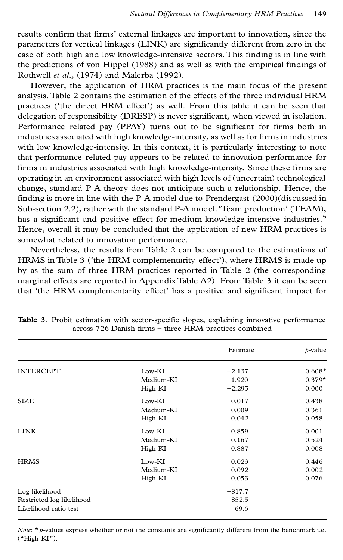results confirm that firms' external linkages are important to innovation, since the parameters for vertical linkages (LINK) are significantly different from zero in the case of both high and low knowledge-intensive sectors.This finding is in line with the predictions of von Hippel (1988) and as well as with the empirical findings of Rothwell *et al*., (1974) and Malerba (1992).

However, the application of HRM practices is the main focus of the present analysis. Table 2 contains the estimation of the effects of the three individual HRM practices (`the direct HRM effect') as well. From this table it can be seen that delegation of responsibility (DRESP) is never significant, when viewed in isolation. Performance related pay (PPAY) turns out to be significant for firms both in industries associated with high knowledge-intensity, as well as for firms in industries with low knowledge-intensity. In this context, it is particularly interesting to note that performance related pay appears to be related to innovation performance for firms in industries associated with high knowledge-intensity. Since these firms are operating in an environment associated with high levels of (uncertain) technological change, standard P-A theory does not anticipate such a relationship. Hence, the finding is more in line with the P-A model due to Prendergast (2000)(discussed in Sub-section 2.2), rather with the standard P-A model. 'Team production' (TEAM), has a significant and positive effect for medium knowledge-intensive industries.<sup>5</sup> Hence, overall it may be concluded that the application of new HRM practices is somewhat related to innovation performance.

Nevertheless, the results from Table 2 can be compared to the estimations of HRMS in Table 3 (`the HRM complementarity effect'), where HRMS is made up by as the sum of three HRM practices reported in Table 2 (the corresponding marginal effects are reported in AppendixTable A2). From Table 3 it can be seen that `the HRM complementarity effect' has a positive and significant impact for

|                           |           | Estimate | $p$ -value |
|---------------------------|-----------|----------|------------|
| <b>INTERCEPT</b>          | $Low-KI$  | $-2.137$ | $0.608*$   |
|                           | Medium-KI | $-1.920$ | $0.379*$   |
|                           | High-KI   | $-2.295$ | 0.000      |
| <b>SIZE</b>               | Low-KI    | 0.017    | 0.438      |
|                           | Medium-KI | 0.009    | 0.361      |
|                           | High-KI   | 0.042    | 0.058      |
| <b>LINK</b>               | Low-KI    | 0.859    | 0.001      |
|                           | Medium-KI | 0.167    | 0.524      |
|                           | High-KI   | 0.887    | 0.008      |
| <b>HRMS</b>               | Low-KI    | 0.023    | 0.446      |
|                           | Medium-KI | 0.092    | 0.002      |
|                           | High-KI   | 0.053    | 0.076      |
| Log likelihood            |           | $-817.7$ |            |
| Restricted log likelihood |           | $-852.5$ |            |
| Likelihood ratio test     |           | 69.6     |            |

**Table 3.** Probit estimation with sector-specific slopes, explaining innovative performance across 726 Danish firms - three HRM practices combined

*Note*: \* *p*-values express whether or not the constants are significantly different from the benchmark i.e. ("High-KI").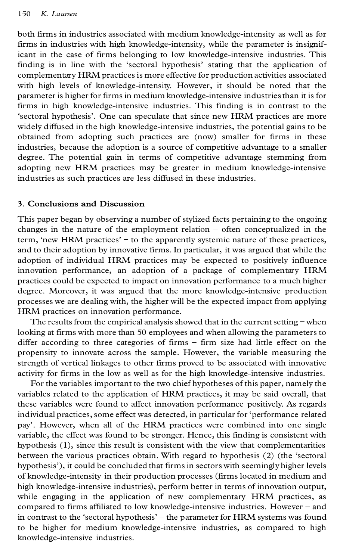both firms in industries associated with medium knowledge-intensity as well as for firms in industries with high knowledge-intensity, while the parameter is insignificant in the case of firms belonging to low knowledge-intensive industries. This finding is in line with the `sectoral hypothesis' stating that the application of complementary HRM practices is more effective for production activities associated with high levels of knowledge-intensity. However, it should be noted that the parameter is higher for firms in medium knowledge-intensive industriesthan it is for firms in high knowledge-intensive industries. This finding is in contrast to the `sectoral hypothesis'. One can speculate that since new HRM practices are more widely diffused in the high knowledge-intensive industries, the potential gains to be obtained from adopting such practices are (now) smaller for firms in these industries, because the adoption is a source of competitive advantage to a smaller degree. The potential gain in terms of competitive advantage stemming from adopting new HRM practices may be greater in medium knowledge-intensive industries as such practices are less diffused in these industries.

## **3. Conclusions and Discussion**

This paper began by observing a number of stylized facts pertaining to the ongoing changes in the nature of the employment relation  $-$  often conceptualized in the term, 'new HRM practices'  $-$  to the apparently systemic nature of these practices, and to their adoption by innovative firms. In particular, it was argued that while the adoption of individual HRM practices may be expected to positively influence innovation performance, an adoption of a package of complementary HRM practices could be expected to impact on innovation performance to a much higher degree. Moreover, it was argued that the more knowledge-intensive production processes we are dealing with, the higher will be the expected impact from applying HRM practices on innovation performance.

The results from the empirical analysis showed that in the current setting  $-\omega$  when looking at firms with more than 50 employees and when allowing the parameters to differ according to three categories of firms  $-$  firm size had little effect on the propensity to innovate across the sample. However, the variable measuring the strength of vertical linkages to other firms proved to be associated with innovative activity for firms in the low as well as for the high knowledge-intensive industries.

For the variables important to the two chief hypotheses of this paper, namely the variables related to the application of HRM practices, it may be said overall, that these variables were found to affect innovation performance positively. As regards individual practices, some effect was detected, in particular for 'performance related pay'. However, when all of the HRM practices were combined into one single variable, the effect was found to be stronger. Hence, this finding is consistent with hypothesis (1), since this result is consistent with the view that complementarities between the various practices obtain. With regard to hypothesis (2) (the `sectoral hypothesis'), it could be concluded that firms in sectors with seemingly higher levels of knowledge-intensity in their production processes (firms located in medium and high knowledge-intensive industries), perform better in terms of innovation output, while engaging in the application of new complementary HRM practices, as compared to firms affiliated to low knowledge-intensive industries. However  $-$  and in contrast to the 'sectoral hypothesis' – the parameter for HRM systems was found to be higher for medium knowledge-intensive industries, as compared to high knowledge-intensive industries.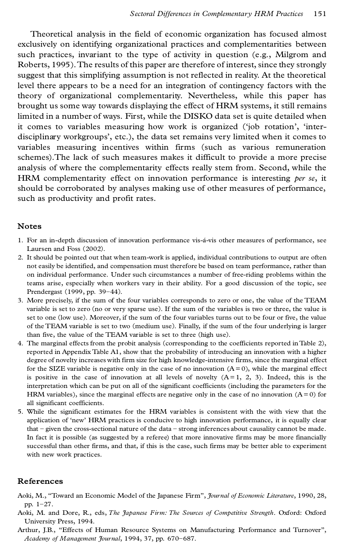Theoretical analysis in the field of economic organization has focused almost exclusively on identifying organizational practices and complementarities between such practices, invariant to the type of activity in question (e.g., Milgrom and Roberts, 1995).The results of this paper are therefore of interest, since they strongly suggest that this simplifying assumption is not reflected in reality. At the theoretical level there appears to be a need for an integration of contingency factors with the theory of organizational complementarity. Nevertheless, while this paper has brought us some way towards displaying the effect of HRM systems, it still remains limited in a number of ways. First, while the DISKO data set is quite detailed when it comes to variables measuring how work is organized ('job rotation', 'interdisciplinary workgroups', etc.), the data set remains very limited when it comes to variables measuring incentives within firms (such as various remuneration schemes).The lack of such measures makes it difficult to provide a more precise analysis of where the complementarity effects really stem from. Second, while the HRM complementarity effect on innovation performance is interesting *per se*, it should be corroborated by analyses making use of other measures of performance, such as productivity and profit rates.

#### **Notes**

- 1. For an in-depth discussion of innovation performance vis-á-vis other measures of performance, see Laursen and Foss (2002).
- 2. It should be pointed out that when team-work is applied, individual contributions to output are often not easily be identified, and compensation must therefore be based on team performance, rather than on individual performance. Under such circumstances a number of free-riding problems within the teams arise, especially when workers vary in their ability. For a good discussion of the topic, see Prendergast (1999, pp. 39-44).
- 3. More precisely, if the sum of the four variables corresponds to zero or one, the value of the TEAM variable is set to zero (no or very sparse use). If the sum of the variables is two or three, the value is set to one (low use). Moreover, if the sum of the four variables turns out to be four or five, the value of the TEAM variable is set to two (medium use). Finally, if the sum of the four underlying is larger than five, the value of the TEAM variable is set to three (high use).
- 4. The marginal effects from the probit analysis (corresponding to the coefficients reported in Table 2), reported in Appendix Table A1, show that the probability of introducing an innovation with a higher degree of novelty increases with firm size for high knowledge-intensive firms, since the marginal effect for the SIZE variable is negative only in the case of no innovation  $(A=0)$ , while the marginal effect is positive in the case of innovation at all levels of novelty  $(A=1, 2, 3)$ . Indeed, this is the interpretation which can be put on all of the significant coefficients (including the parameters for the HRM variables), since the marginal effects are negative only in the case of no innovation  $(A = 0)$  for all significant coefficients.
- 5. While the significant estimates for the HRM variables is consistent with the with view that the application of 'new' HRM practices is conducive to high innovation performance, it is equally clear that  $-\frac{1}{2}$  given the cross-sectional nature of the data  $-\frac{1}{2}$  strong inferences about causality cannot be made. In fact it is possible (as suggested by a referee) that more innovative firms may be more financially successful than other firms, and that, if this is the case, such firms may be better able to experiment with new work practices.

#### **References**

- Aoki, M., ª Toward an Economic Model of the Japanese Firmº, *Journal of Economic Literature*, 1990, 28, pp.  $1-27$ .
- Aoki, M. and Dore, R., eds, *The Japanese Firm: The Sources of Competitive Strength*. Oxford: Oxford University Press, 1994.
- Arthur, J.B., "Effects of Human Resource Systems on Manufacturing Performance and Turnover", Academy of Management Journal, 1994, 37, pp. 670-687.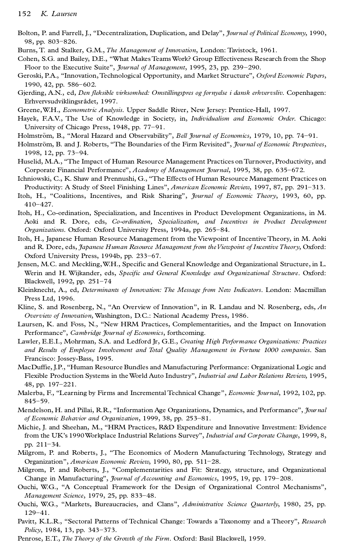#### 152 *K. Laursen*

- Bolton, P. and Farrell, J., ª Decentralization, Duplication, and Delayº, *Journal of Political Economy*, 1990, 98, pp. 803-826.
- Burns, T. and Stalker, G.M., *The Management of Innovation*, London: Tavistock, 1961.
- Cohen, S.G. and Bailey, D.E., ª What MakesTeamsWork? Group Effectiveness Research from the Shop Floor to the Executive Suite", *Journal of Management*, 1995, 23, pp. 239-290.
- Geroski, P.A., ª Innovation,Technological Opportunity, and Market Structureº, *Oxford Economic Papers*, 1990, 42, pp. 586-602.
- Gjerding, A.N., ed, *Den fleksible virksomhed: Omstillingspres og fornyelse i dansk erhvervsliv*. Copenhagen: Erhvervsudviklingsrådet, 1997.
- Greene,W.H., *Econometric Analysis*. Upper Saddle River, New Jersey: Prentice-Hall, 1997.
- Hayek, F.A.V., The Use of Knowledge in Society, in, *Individualism and Economic Order*. Chicago: University of Chicago Press, 1948, pp. 77-91.
- Holmström, B., "Moral Hazard and Observability", *Bell Journal of Economics*, 1979, 10, pp. 74-91.
- Holmström, B. and J. Roberts, "The Boundaries of the Firm Revisited", *Journal of Economic Perspectives*, 1998, 12, pp. 73-94.
- Huselid, M.A., "The Impact of Human Resource Management Practices on Turnover, Productivity, and Corporate Financial Performance", Academy of Management Journal, 1995, 38, pp. 635-672.
- Ichniowski, C., K. Shaw and Prennushi, G., ª The Effects of Human Resource Management Practices on Productivity: A Study of Steel Finishing Lines", *American Economic Review*, 1997, 87, pp. 291-313.
- Itoh, H., ª Coalitions, Incentives, and Risk Sharingº , *Journal of Economic Theory*, 1993, 60, pp. 410±427.
- Itoh, H., Co-ordination, Specialization, and Incentives in Product Development Organizations, in M. Aoki and R. Dore, eds, *Co-ordination, Specialization, and Incentives in Product Development Organizations*. Oxford: Oxford University Press, 1994a, pp. 265-84.
- Itoh, H., Japanese Human Resource Management from the Viewpoint of Incentive Theory, in M. Aoki and R. Dore, eds, *Japanese Human Resource Management from the Viewpoint of Incentive Theory*, Oxford: Oxford University Press, 1994b, pp. 233-67.
- Jensen, M.C. and Meckling,W.H., Specific and General Knowledge and Organizational Structure, in L. Werin and H. Wijkander, eds, *Specific and General Knowledge and Organizational Structure*. Oxford: Blackwell, 1992, pp. 251-74
- Kleinknecht, A., ed, *Determinants of Innovation: The Message from New Indicators*. London: Macmillan Press Ltd, 1996.
- Kline, S. and Rosenberg, N., ª An Overview of Innovationº, in R. Landau and N. Rosenberg, eds, *An Overview of Innovation*, Washington, D.C.: National Academy Press, 1986.
- Laursen, K. and Foss, N., ª New HRM Practices, Complementarities, and the Impact on Innovation Performanceº, *Cambridge Journal of Economics*, forthcoming.
- Lawler, E.E.I., Mohrman, S.A. and Ledford Jr, G.E., *Creating High Performance Organizations: Practices and Results of Employee Involvement and Total Quality Management in Fortune 1000 companies*. San Francisco: Jossey-Bass, 1995.
- MacDuffie, J.P., ª Human Resource Bundles and Manufacturing Performance: Organizational Logic and Flexible Production Systems in theWorld Auto Industryº, *Industrial and Labor Relations Review*, 1995, 48, pp. 197-221.
- Malerba, F., ª Learning by Firms and Incremental Technical Changeº , *Economic Journal*, 1992, 102, pp.  $845 - 59$
- Mendelson, H. and Pillai, R.R., ª Information Age Organizations, Dynamics, and Performanceº, *Journal of Economic Behavior and Organization*, 1999, 38, pp. 253-81.
- Michie, J. and Sheehan, M., ª HRM Practices, R&D Expenditure and Innovative Investment: Evidence from the UK's 1990Workplace Industrial Relations Surveyº, *Industrial and Corporate Change*, 1999, 8, pp. 211-34.
- Milgrom, P. and Roberts, J., "The Economics of Modern Manufacturing Technology, Strategy and Organization", *American Economic Review*, 1990, 80, pp. 511-28.
- Milgrom, P. and Roberts, J., ª Complementarities and Fit: Strategy, structure, and Organizational Change in Manufacturing", *Journal of Accounting and Economics*, 1995, 19, pp. 179-208.
- Ouchi, W.G., "A Conceptual Framework for the Design of Organizational Control Mechanisms", *Management Science*, 1979, 25, pp. 833-48.
- Ouchi, W.G., ª Markets, Bureaucracies, and Clansº, *Administrative Science Quarterly*, 1980, 25, pp. 129±41.
- Pavitt, K.L.R., "Sectoral Patterns of Technical Change: Towards a Taxonomy and a Theory", *Research Policy*, 1984, 13, pp. 343-373.
- Penrose, E.T., *The Theory of the Growth of the Firm*. Oxford: Basil Blackwell, 1959.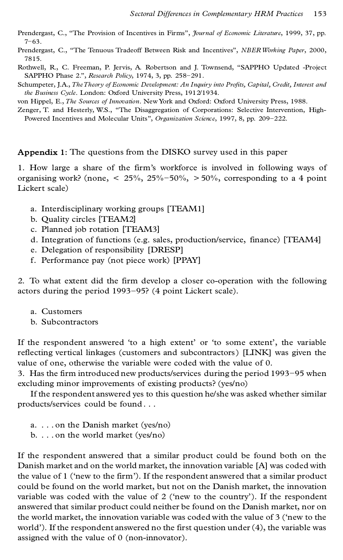Prendergast, C., "The Provision of Incentives in Firms", *Journal of Economic Literature*, 1999, 37, pp.  $7-63.$ 

Prendergast, C., ª The Tenuous Tradeoff Between Risk and Incentivesº, *NBER Working Paper*, 2000, 7815.

Rothwell, R., C. Freeman, P. Jervis, A. Robertson and J. Townsend, ª SAPPHO Updated -Project SAPPHO Phase 2.", *Research Policy*, 1974, 3, pp. 258-291.

Schumpeter, J.A., *The Theory of Economic Development: An Inquiry into Profits, Capital, Credit, Interest and the Business Cycle*. London: Oxford University Press, 1912/1934.

von Hippel, E., *The Sources of Innovation*. New York and Oxford: Oxford University Press, 1988.

Zenger, T. and Hesterly, W.S., "The Disaggregation of Corporations: Selective Intervention, High-Powered Incentives and Molecular Units", *Organization Science*, 1997, 8, pp. 209-222.

#### **Appendix 1:** The questions from the DISKO survey used in this paper

1. How large a share of the firm's workforce is involved in following ways of organising work? (none,  $\lt 25\%$ ,  $25\%$  -50%,  $>50\%$ , corresponding to a 4 point Lickert scale)

- a. Interdisciplinary working groups [TEAM1]
- b. Quality circles [TEAM2]
- c. Planned job rotation [TEAM3]
- d. Integration of functions (e.g. sales, production/service, finance) [TEAM4]
- e. Delegation of responsibility [DRESP]
- f. Performance pay (not piece work) [PPAY]

2. To what extent did the firm develop a closer co-operation with the following actors during the period 1993-95? (4 point Lickert scale).

- a. Customers
- b. Subcontractors

If the respondent answered 'to a high extent' or 'to some extent', the variable reflecting vertical linkages (customers and subcontractors) [LINK] was given the value of one, otherwise the variable were coded with the value of 0.

3. Has the firm introduced new products/services during the period 1993-95 when excluding minor improvements of existing products? (yes/no)

If the respondent answered yes to this question he/she was asked whether similar products/services could be found . . .

- a. . . . on the Danish market (yes/no)
- b. . . . on the world market (yes/no)

If the respondent answered that a similar product could be found both on the Danish market and on the world market, the innovation variable [A] was coded with the value of 1 (`new to the firm'). If the respondent answered that a similar product could be found on the world market, but not on the Danish market, the innovation variable was coded with the value of 2 (`new to the country'). If the respondent answered that similar product could neither be found on the Danish market, nor on the world market, the innovation variable was coded with the value of 3 (`new to the world'). If the respondent answered no the first question under  $(4)$ , the variable was assigned with the value of 0 (non-innovator).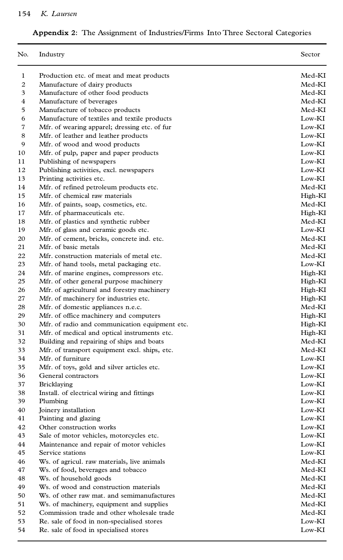#### *K. Laursen*

## **Appendix 2:** The Assignment of Industries/Firms Into Three Sectoral Categories

| No.      | Industry                                                                           | Sector           |
|----------|------------------------------------------------------------------------------------|------------------|
| 1        | Production etc. of meat and meat products                                          | Med-KI           |
| 2        | Manufacture of dairy products                                                      | Med-KI           |
| 3        | Manufacture of other food products                                                 | Med-KI           |
| 4        | Manufacture of beverages                                                           | Med-KI           |
| 5        | Manufacture of tobacco products                                                    | Med-KI           |
| 6        | Manufacture of textiles and textile products                                       | Low-KI           |
| 7        | Mfr. of wearing apparel; dressing etc. of fur                                      | Low-KI           |
| 8        | Mfr. of leather and leather products                                               | Low-KI           |
| 9        | Mfr. of wood and wood products                                                     | Low-KI           |
| 10       | Mfr. of pulp, paper and paper products                                             | Low-KI           |
| 11       | Publishing of newspapers                                                           | Low-KI           |
| 12       | Publishing activities, excl. newspapers                                            | $Low-KI$         |
| 13       | Printing activities etc.                                                           | Low-KI           |
| 14       | Mfr. of refined petroleum products etc.                                            | Med-KI           |
| 15       | Mfr. of chemical raw materials                                                     | High-KI          |
| 16       | Mfr. of paints, soap, cosmetics, etc.                                              | Med-KI           |
| 17       | Mfr. of pharmaceuticals etc.                                                       | High-KI          |
| 18       | Mfr. of plastics and synthetic rubber                                              | Med-KI           |
| 19       | Mfr. of glass and ceramic goods etc.<br>Mfr. of cement, bricks, concrete ind. etc. | Low-KI           |
| 20       | Mfr. of basic metals                                                               | Med-KI           |
| 21<br>22 | Mfr. construction materials of metal etc.                                          | Med-KI<br>Med-KI |
| 23       | Mfr. of hand tools, metal packaging etc.                                           | $Low-KI$         |
| 24       | Mfr. of marine engines, compressors etc.                                           | High-KI          |
| 25       | Mfr. of other general purpose machinery                                            | High-KI          |
| 26       | Mfr. of agricultural and forestry machinery                                        | High-KI          |
| 27       | Mfr. of machinery for industries etc.                                              | High-KI          |
| 28       | Mfr. of domestic appliances n.e.c.                                                 | Med-KI           |
| 29       | Mfr. of office machinery and computers                                             | High-KI          |
| 30       | Mfr. of radio and communication equipment etc.                                     | High-KI          |
| 31       | Mfr. of medical and optical instruments etc.                                       | High-KI          |
| 32       | Building and repairing of ships and boats                                          | Med-KI           |
| 33       | Mfr. of transport equipment excl. ships, etc.                                      | Med-KI           |
| 34       | Mfr. of furniture                                                                  | Low-KI           |
| 35       | Mfr. of toys, gold and silver articles etc.                                        | Low-KI           |
| 36       | General contractors                                                                | Low-KI           |
| 37       | Bricklaying                                                                        | Low-KI           |
| 38       | Install, of electrical wiring and fittings                                         | Low-KI           |
| 39       | Plumbing                                                                           | Low-KI           |
| 40       | Joinery installation                                                               | Low-KI           |
| 41       | Painting and glazing                                                               | Low-KI           |
| 42       | Other construction works                                                           | Low-KI           |
| 43       | Sale of motor vehicles, motorcycles etc.                                           | Low-KI           |
| 44       | Maintenance and repair of motor vehicles                                           | Low-KI           |
| 45       | Service stations                                                                   | Low-KI           |
| 46       | Ws. of agricul. raw materials, live animals                                        | Med-KI           |
| 47       | Ws. of food, beverages and tobacco                                                 | Med-KI           |
| 48       | Ws. of household goods                                                             | Med-KI           |
| 49       | Ws. of wood and construction materials                                             | Med-KI           |
| 50       | Ws. of other raw mat. and semimanufactures                                         | Med-KI           |
| 51       | Ws. of machinery, equipment and supplies                                           | Med-KI           |
| 52       | Commission trade and other wholesale trade                                         | Med-KI           |
| 53       | Re. sale of food in non-specialised stores                                         | Low-KI           |
| 54       | Re. sale of food in specialised stores                                             | Low-KI           |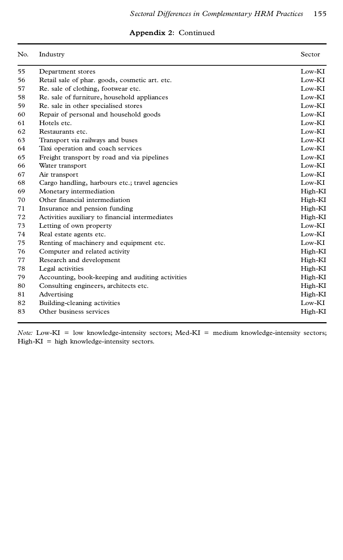# **Appendix 2:** Continued

| No. | Industry                                         | Sector             |
|-----|--------------------------------------------------|--------------------|
| 55  | Department stores                                | Low-KI             |
| 56  | Retail sale of phar. goods, cosmetic art. etc.   | $I_{\text{OW}-KI}$ |
| 57  | Re. sale of clothing, footwear etc.              | $I_{\text{OW}-KI}$ |
| 58  | Re. sale of furniture, household appliances      | $I_{\text{OW}-KI}$ |
| 59  | Re. sale in other specialised stores             | $I_{\text{OW}-KI}$ |
| 60  | Repair of personal and household goods           | $I_{\text{OW}-KI}$ |
| 61  | Hotels etc.                                      | Low-KI             |
| 62  | Restaurants etc.                                 | $I_{\text{OW}-KI}$ |
| 63  | Transport via railways and buses                 | $I_{\text{OW}-KI}$ |
| 64  | Taxi operation and coach services                | Low-KI             |
| 65  | Freight transport by road and via pipelines      | $Low-KI$           |
| 66  | Water transport                                  | $I_{\text{OW}-KI}$ |
| 67  | Air transport                                    | $I_{\text{OW}-KI}$ |
| 68  | Cargo handling, harbours etc.; travel agencies   | $Low-KI$           |
| 69  | Monetary intermediation                          | High-KI            |
| 70  | Other financial intermediation                   | High-KI            |
| 71  | Insurance and pension funding                    | High-KI            |
| 72  | Activities auxiliary to financial intermediates  | High-KI            |
| 73  | Letting of own property                          | $Low-KI$           |
| 74  | Real estate agents etc.                          | $Low-KI$           |
| 75  | Renting of machinery and equipment etc.          | Low-KI             |
| 76  | Computer and related activity                    | High-KI            |
| 77  | Research and development                         | High-KI            |
| 78  | Legal activities                                 | High-KI            |
| 79  | Accounting, book-keeping and auditing activities | High-KI            |
| 80  | Consulting engineers, architects etc.            | High-KI            |
| 81  | Advertising                                      | High-KI            |
| 82  | Building-cleaning activities                     | $Low-KI$           |
| 83  | Other business services                          | High-KI            |

*Note:* Low-KI = low knowledge-intensity sectors; Med-KI = medium knowledge-intensity sectors;  $High-KI = high knowledge-intensity sectors.$